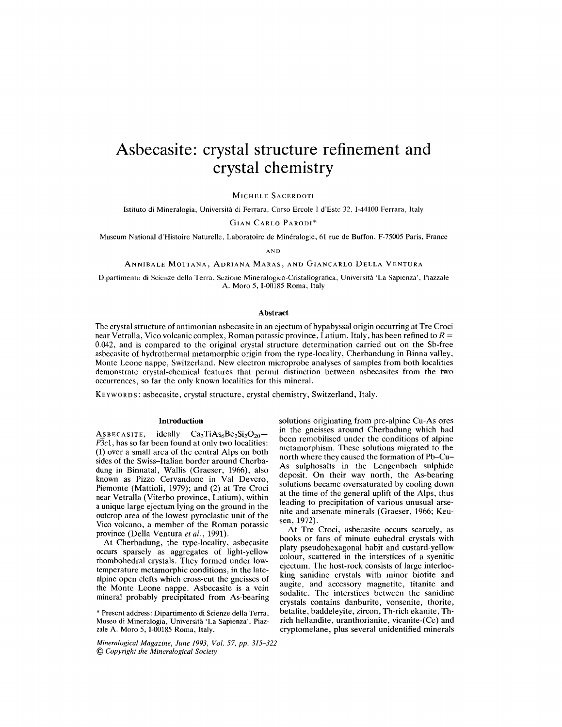# **Asbecasite: crystal structure refinement and crystal chemistry**

MICHELE SACERDOTI

Istituto di Mineralogia, Universita di Ferrara, Corso Ercole I d'Este 32, I-44IOO Ferrara, Italy

GIAN CARLO PARODI\*

Museum National d'Histoire Naturelle, Laboratoire de Mineralogie, 61 rue de Buffon, F-75005 Paris, France

AND

ANNIBALE MOTTANA, ADRIANA MARAS, AND GIANCARLO DELLA VENTURA

Dipartimento di Scienze delia Terra, Sezione Mineralogico-Cristallografica, Universita 'La Sapienza', Piazzale A. Mora 5, 1-00185 Roma, Italy

## **Abstract**

The crystal structure of antimonian asbecasite in an ejectum of hypabyssal origin occurring at Tre Croci near Vetralla, Vico volcanic complex, Roman potassic province, Latium, Italy, has been refined to *R =* 0.042, and is compared to the original crystal structure determination carried out on the Sb-free asbecasite of hydrothermal metamorphic origin from the type-locality, Cherbandung in Binna valley, Monte Leone nappe, Switzerland. New electron microprobe analyses of samples from both localities demonstrate crystal-chemical features that permit distinction between asbecasites from the two occurrences, so far the only known localities for this mineral.

KEYWORDS: asbecasite, crystal structure, crystal chemistry, Switzerland, Italy.

## **Introduction**

ASBECASITE, ideally  $Ca<sub>3</sub>TiAs<sub>6</sub>Be<sub>2</sub>Si<sub>2</sub>O<sub>20</sub>$ P3c1, has so far been found at only two localities: (1) over a small area of the central Alps on both sides of the Swiss-Italian border around Cherbadung in Binnatal, Wallis (Graeser, 1966), also known as Pizzo Cervandone in Val Devero, Piemonte (Mattioli, 1979); and (2) at Tre Croci near Vetralla (Viterbo province, Latium), within a unique large ejectum lying on the ground in the outcrop area of the lowest pyroclastic unit of the Vico volcano, a member of the Roman potassic province (Della Ventura *et ai., 1991).*

At Cherbadung, the type-locality, asbecasite occurs sparsely as aggregates of light-yellow rhombohedral crystals. They formed under lowtemperature metamorphic conditions, in the latealpine open clefts which cross-cut the gneisses of the Monte Leone nappe. Asbecasite is a vein mineral probably precipitated from As-bearing

Museo di Mineralogia, Università 'La Sapienza', PiazzaleA. Moro 5,1-00185 Roma, Italy. cryptomelane, plus several unidentified minerals

*Mineralogical Magazine, June* 1993, *Vol.* 57, *pp. 315-322* @ *Copyright the Mineralogical Society*

solutions originating from pre-alpine Cu-As ores in the gneisses around Cherbadung which had been remobilised under the conditions of alpine metamorphism. These solutions migrated to the north where they caused the formation of Pb-Cu-As sulphosalts in the Lengenbach sulphide deposit. On their way north, the As-bearing solutions became oversaturated by cooling down at the time of the general uplift of the Alps, thus leading to precipitation of various unusual arsenite and arsenate minerals (Graeser, 1966; Keusen, 1972).

At Tre Croci, asbecasite occurs scarcely, as books or fans of minute euhedral crystals with platy pseudo hexagonal habit and custard-yellow colour, scattered in the interstices of a syenitic ejectum. The host-rock consists of large interlocking sanidine crystals with minor biotite and augite, and accessory magnetite, titanite and sodalite. The interstices between the sanidine crystals contains danburite, vonsenite, thorite, \* Present address: Dipartimento di Scienze delia Terra, betafite, baddeleyite, zircon, Th-rich ekanite, Th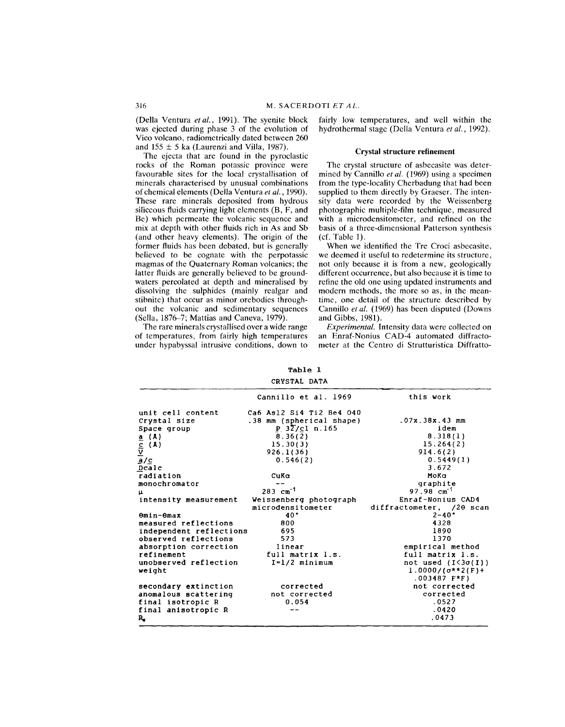(Della Ventura *et a!.,* 1991). The syenite block was ejected during phase 3 of the evolution of Vico volcano, radiometrically dated between 260 and  $155 \pm 5$  ka (Laurenzi and Villa, 1987).

The ejecta that are found in the pyroclastic rocks of the Roman potassic province were favourable sites for the local crystallisation of minerals characterised by unusual combinations of chemical elements (Della Ventura *et al., 1990).* These rare minerals deposited from hydrous siliceous fluids carrying light elements (B, F, and Be) which permeate the volcanic sequence and mix at depth with other fluids rich in As and Sb (and other heavy elements). The origin of the former fluids has been debated, but is generally believed to be cognate with the perpotassic magmas of the Quaternary Roman volcanics; the latter fluids are generally believed to be groundwaters percolated at depth and mineralised by dissolving the sulphides (mainly realgar and stibnite) that occur as minor orebodies throughout the volcanic and sedimentary sequences (Sella, 1876-7; Mattias and Caneva, 1979).

The rare minerals crystallised over a wide range of temperatures, from fairly high temperatures under hypabyssal intrusive conditions, down to fairly low temperatures, and well within the hydrothermal stage (Della Ventura *et al., 1992).*

## Crystal structure refinement

The crystal structure of asbecasite was determined by Cannillo *et al.* (1969) using a specimen from the type-locality Cherbadung that had been supplied to them directly by Graeser. The intensity data were recorded by the Weissenberg photographic multiple-film technique, measured with a microdensitometer, and refined on the basis of a three-dimensional Patterson synthesis  $(cf. Table 1).$ 

When we identified the Tre Croci asbecasite, we deemed it useful to redetermine its structure, not only because it is from a new, geologically different occurrence, but also because it is time to refine the old one using updated instruments and modern methods, the more so as, in the meantime, one detail of the structure described by Cannillo *et al.* (1969) has been disputed (Downs and Gibbs, 1981).

*Experimental.* Intensity data were collected on an Enraf-Nonius CAD-4 automated diffractometer at the Centro di Strutturistica Diffratto-

Table 1 CRYSTAL DATA

| Cannillo et al. 1969<br>this work<br>unit cell content<br>Ca6 Asl2 Si4 Ti2 Be4 040<br>Crystal size<br>.38 mm (spherical shape)<br>.07x.38x.43 mm<br>$P_{.}3\overline{Z}/c1$ n.165<br>idem<br>Space group<br>8.318(1)<br>8.36(2)<br>$\underbrace{\frac{a}{C}}_{\underline{A}/\underline{C}}$<br>$\underbrace{\frac{a}{C}}_{\underline{D}}$<br>$\underbrace{\frac{c}{C}}_{\underline{D}}$<br>15.264(2)<br>15.30(3)<br>914.6(2)<br>926.1(36)<br>0.5449(1)<br>0.546(2)<br>3.672<br>radiation<br>CuKa<br>MoKa<br>monochromator<br>graphite<br>$283 \text{ cm}^{-1}$<br>$97.98 \text{ cm}^{-1}$<br>14<br>Enraf-Nonius CAD4<br>Weissenberg photograph<br>intensity measurement<br>microdensitometer<br>$2 - 40^{\circ}$<br>$40^{\circ}$<br>Omin-Omax<br>measured reflections<br>4328<br>800<br>1890<br>695<br>independent reflections |                      | CRYSTAL DATA |                           |
|--------------------------------------------------------------------------------------------------------------------------------------------------------------------------------------------------------------------------------------------------------------------------------------------------------------------------------------------------------------------------------------------------------------------------------------------------------------------------------------------------------------------------------------------------------------------------------------------------------------------------------------------------------------------------------------------------------------------------------------------------------------------------------------------------------------------------------|----------------------|--------------|---------------------------|
|                                                                                                                                                                                                                                                                                                                                                                                                                                                                                                                                                                                                                                                                                                                                                                                                                                |                      |              |                           |
|                                                                                                                                                                                                                                                                                                                                                                                                                                                                                                                                                                                                                                                                                                                                                                                                                                |                      |              |                           |
|                                                                                                                                                                                                                                                                                                                                                                                                                                                                                                                                                                                                                                                                                                                                                                                                                                |                      |              |                           |
|                                                                                                                                                                                                                                                                                                                                                                                                                                                                                                                                                                                                                                                                                                                                                                                                                                |                      |              |                           |
|                                                                                                                                                                                                                                                                                                                                                                                                                                                                                                                                                                                                                                                                                                                                                                                                                                |                      |              |                           |
|                                                                                                                                                                                                                                                                                                                                                                                                                                                                                                                                                                                                                                                                                                                                                                                                                                |                      |              |                           |
|                                                                                                                                                                                                                                                                                                                                                                                                                                                                                                                                                                                                                                                                                                                                                                                                                                |                      |              |                           |
|                                                                                                                                                                                                                                                                                                                                                                                                                                                                                                                                                                                                                                                                                                                                                                                                                                |                      |              |                           |
|                                                                                                                                                                                                                                                                                                                                                                                                                                                                                                                                                                                                                                                                                                                                                                                                                                |                      |              |                           |
|                                                                                                                                                                                                                                                                                                                                                                                                                                                                                                                                                                                                                                                                                                                                                                                                                                |                      |              |                           |
|                                                                                                                                                                                                                                                                                                                                                                                                                                                                                                                                                                                                                                                                                                                                                                                                                                |                      |              |                           |
|                                                                                                                                                                                                                                                                                                                                                                                                                                                                                                                                                                                                                                                                                                                                                                                                                                |                      |              |                           |
|                                                                                                                                                                                                                                                                                                                                                                                                                                                                                                                                                                                                                                                                                                                                                                                                                                |                      |              |                           |
|                                                                                                                                                                                                                                                                                                                                                                                                                                                                                                                                                                                                                                                                                                                                                                                                                                |                      |              | diffractometer, /20 scan  |
|                                                                                                                                                                                                                                                                                                                                                                                                                                                                                                                                                                                                                                                                                                                                                                                                                                |                      |              |                           |
|                                                                                                                                                                                                                                                                                                                                                                                                                                                                                                                                                                                                                                                                                                                                                                                                                                |                      |              |                           |
|                                                                                                                                                                                                                                                                                                                                                                                                                                                                                                                                                                                                                                                                                                                                                                                                                                |                      |              |                           |
|                                                                                                                                                                                                                                                                                                                                                                                                                                                                                                                                                                                                                                                                                                                                                                                                                                | observed reflections | 573          | 1370                      |
| linear<br>absorption correction<br>empirical method                                                                                                                                                                                                                                                                                                                                                                                                                                                                                                                                                                                                                                                                                                                                                                            |                      |              |                           |
| refinement<br>full matrix l.s.<br>full matrix 1.s.                                                                                                                                                                                                                                                                                                                                                                                                                                                                                                                                                                                                                                                                                                                                                                             |                      |              |                           |
| unobserved reflection<br>$I = 1/2$ minimum                                                                                                                                                                                                                                                                                                                                                                                                                                                                                                                                                                                                                                                                                                                                                                                     |                      |              | not used $(I<3\sigma(I))$ |
| 1.0000/( $\sigma$ **2(F)+<br>weight                                                                                                                                                                                                                                                                                                                                                                                                                                                                                                                                                                                                                                                                                                                                                                                            |                      |              |                           |
| $.003487$ $F*F$ )                                                                                                                                                                                                                                                                                                                                                                                                                                                                                                                                                                                                                                                                                                                                                                                                              |                      |              |                           |
| not corrected<br>secondary extinction<br>corrected                                                                                                                                                                                                                                                                                                                                                                                                                                                                                                                                                                                                                                                                                                                                                                             |                      |              |                           |
| anomalous scattering<br>corrected<br>not corrected                                                                                                                                                                                                                                                                                                                                                                                                                                                                                                                                                                                                                                                                                                                                                                             |                      |              |                           |
| .0527<br>final isotropic R<br>0.054                                                                                                                                                                                                                                                                                                                                                                                                                                                                                                                                                                                                                                                                                                                                                                                            |                      |              |                           |
| .0420<br>final anisotropic R                                                                                                                                                                                                                                                                                                                                                                                                                                                                                                                                                                                                                                                                                                                                                                                                   |                      |              |                           |
| .0473<br>R,                                                                                                                                                                                                                                                                                                                                                                                                                                                                                                                                                                                                                                                                                                                                                                                                                    |                      |              |                           |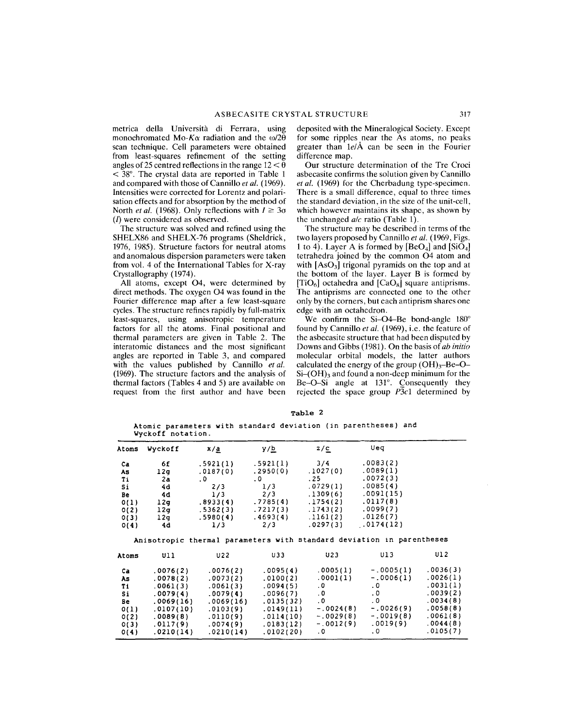metrica delia Universita di Ferrara, using monochromated Mo-K $\alpha$  radiation and the  $\omega/2\theta$ scan technique. Cell parameters were obtained from least-squares refinement of the setting angles of 25 centred reflections in the range  $12 < \theta$  $\leq$  38°. The crystal data are reported in Table 1 and compared with those of Cannillo *et at. (1969).* Intensities were corrected for Lorentz and polarisation effects and for absorption by the method of North *et al.* (1968). Only reflections with  $I \ge 3\sigma$ (I) were considered as observed.

The structure was solved and refined using the SHELX86 and SHELX-76 programs (Sheldrick, 1976, 1985). Structure factors for neutral atoms and anomalous dispersion parameters were taken from vol. 4 of the International Tables for X-ray Crystallography (1974).

All atoms, except 04, were determined by direct methods. The oxygen 04 was found in the Fourier difference map after a few least-square cycles. The structure refines rapidly by full-matrix least-squares, using anisotropic temperature factors for all the atoms. Final positional and thermal parameters are given in Table 2. The interatomic distances and the most significant angles are reported in Table 3, and compared with the values published by Cannillo *et at.* (1969). The structure factors and the analysis of thermal factors (Tables 4 and 5) are available on request from the first author and have been deposited with the Mineralogical Society. Except for some ripples near the As atoms, no peaks greater than *lelA* can be seen in the Fourier difference map.

Our structure determination of the Tre Croci asbecasite confirms the solution given by Cannillo *et at.* (1969) for the Cherbadung type-specimen. There is a small difference, equal to three times the standard deviation, in the size of the unit-cell, which however maintains its shape, as shown by the unchanged *ale* ratio (Table 1).

The structure may be described in terms of the two layers proposed by Cannillo *et at.* (1969, Figs. 1 to 4). Layer A is formed by  $[BeO_4]$  and  $[SiO_4]$ tetrahedra joined by the common 04 atom and with  $[AsO<sub>3</sub>]$  trigonal pyramids on the top and at the bottom of the layer. Layer B is formed by [TiO<sub>6</sub>] octahedra and  $[CaO_8]$  square antiprisms. The antiprisms are connected one to the other only by the corners, but each antiprism shares one edge with an octahedron.

We confirm the Si-O4-Be bond-angle 180° found by Cannillo *et at.* (1969), i.e. the feature of the asbecasite structure that had been disputed by Downs and Gibbs (1981). On the basis of *ab initio* molecular orbital models, the latter authors calculated the energy of the group  $(OH)<sub>3</sub>-Be-O Si$ – $(OH)$ <sub>3</sub> and found a non-deep minimum for the  $Be-O-Si$  angle at 131°. Consequently they rejected the space group *P3c1* determined by

Table 2

Atomic parameters with standard deviation (in parentheses) and Vyckoff notation.

| Atoms | Wyckoff   | x/a       | <u>y/b</u>        | z/c         | Ueq                                                                   |          |
|-------|-----------|-----------|-------------------|-------------|-----------------------------------------------------------------------|----------|
|       |           |           |                   |             |                                                                       |          |
| Ca.   | 6f        | .5921(1)  | .5921(1)          | 3/4         | .0083(2)                                                              |          |
| As    | 12g       | .0187(0)  | .2950(0)          | .1027(0)    | .0089(1)                                                              |          |
| Τi    | 2a        | .0        | $\cdot$ 0 $\cdot$ | .25         | .0072(3)                                                              |          |
| 5i    | 4d        | 2/3       | 1/3               | .0729(1)    | .0085(4)                                                              |          |
| Be    | 4d        | 1/3       | 2/3               | .1309(6)    | .0091(15)                                                             |          |
| 0(1)  | 12g       | .8933(4)  | .7785(4)          | .1754(2)    | .0117(8)                                                              |          |
| O(2)  | 12q       | .5362(3)  | .7217(3)          | .1743(2)    | .0099(7)                                                              |          |
| O(3)  | 12g       | .5980(4)  | .4693(4)          | .1161(2)    | .0126(7)                                                              |          |
| O(4)  | 4d        | 1/3       | 2/3               | .0297(3)    | .0174(12)                                                             |          |
|       |           |           |                   |             | Anisotropic thermal parameters with standard deviation in parentheses |          |
| Atoms | U11       | U22       | U33               | U23         | Ul 3                                                                  | U12      |
| Ca    | .0076(2)  | .0076(2)  | .0095(4)          | .0005(1)    | $-.0005(1)$                                                           | .0036(3) |
| As    | .0078(2)  | .0073(2)  | .0100(2)          | .0001(1)    | $-.0006(1)$                                                           | .0026(1) |
| Ti    | .0061(3)  | .0061(3)  | .0094(5)          | $\cdot$ 0   | .0 <sub>1</sub>                                                       | .0031(1) |
| Si    | .0079(4)  | .0079(4)  | .0096(7)          | $\cdot$ 0   | $\cdot$ 0                                                             | .0039(2) |
| Be    | .0069(16) | .0069(16) | .0135(32)         | $\cdot$ 0   | . 0                                                                   | .0034(8) |
| 0(1)  | .0107(10) | .0103(9)  | .0149(11)         | $-.0024(8)$ | $-.0026(9)$                                                           | .0058(8) |
| O(2)  | .0089(8)  | .0110(9)  | .0114(10)         | $-.0029(8)$ | $-.0019(8)$                                                           | .0061(8) |
| O(3)  | .0117(9)  | .0074(9)  | .0183(12)         | $-.0012(9)$ | .0019(9)                                                              | .0044(8) |
| O(4)  | .0210(14) | .0210(14) | .0102(20)         | $\cdot$ 0   | $\overline{0}$                                                        | .0105(7) |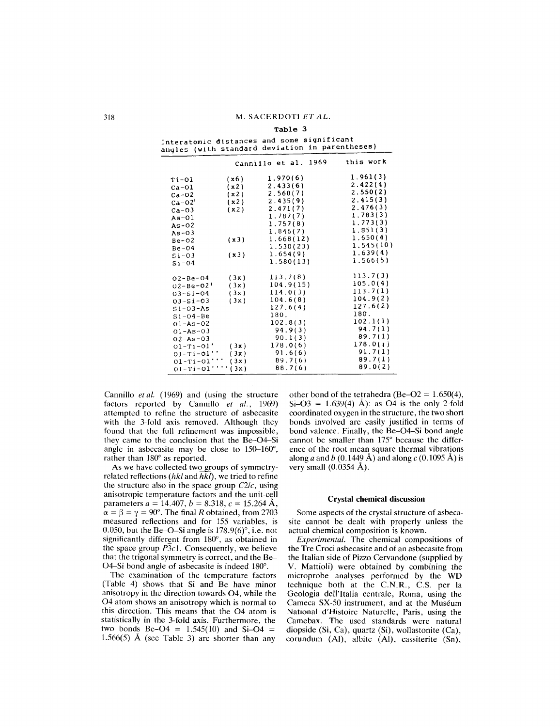Table 3

|                     |              | Interatomic distances and some significant<br>angles (with standard deviation in parentheses) |                      |
|---------------------|--------------|-----------------------------------------------------------------------------------------------|----------------------|
|                     |              | Cannillo et al. 1969                                                                          | this work            |
| Ti-Ol               | (x6)         | 1.970(6)<br>2.433(6)                                                                          | 1.961(3)<br>2.422(4) |
| $Ca-O1$<br>$Ca-O2$  | (x2)<br>(x2) | 2.560(7)                                                                                      | 2.550(2)             |
| $Ca-02'$            | (x2)         | 2.435(9)                                                                                      | 2.415(3)             |
| $Ca - O3$           | (x2)         | 2.471(7)                                                                                      | 2.476(3)             |
| $As-01$             |              | 1.787(7)                                                                                      | 1.783(3)             |
| $As-02$             |              | 1.757(8)                                                                                      | 1.773(3)             |
| $As-03$             |              | 1.846(7)                                                                                      | 1.851(3)             |
| $Be-02$             | (x3)         | 1.668(12)                                                                                     | 1.650(4)             |
| $Be-04$             |              | 1.530(23)                                                                                     | 1.545(10)            |
| $Si-O3$             | (x3)         | 1.654(9)                                                                                      | 1.639(4)<br>1.566(5) |
| $Si-04$             |              | 1.580(13)                                                                                     |                      |
| $02 - Be - O4$      | (3x)         | 113.7(8)                                                                                      | 113.7(3)             |
| $02 - Be - 02$      | (3x)         | 104.9(15)                                                                                     | 105.0(4)             |
| $03 - 5i - 04$      | (3x)         | 114.0(3)                                                                                      | 113.7(1)             |
| $03 - 51 - 03$      | (3x)         | 104.6(8)                                                                                      | 104.9(2)             |
| $51 - 03 - A5$      |              | 127.6(4)                                                                                      | 127.6(2)             |
| $Si - O4 - Be$      |              | 180.                                                                                          | 180.                 |
| $01 - As - 02$      |              | 102.8(3)                                                                                      | 102.1(1)             |
| $01 - As - 03$      |              | 94.9(3)                                                                                       | 94.7(1)              |
| $02 - As - 03$      |              | 90.1(3)                                                                                       | 89.7(1)              |
| $01-Ti-01'$ (3x)    |              | 178.0(6)                                                                                      | 178.0(1)             |
| $01-Ti-01'$         | (3x)         | 91.6(6)                                                                                       | 91.7(1)              |
| $01 - Ti - 01'$     | (3x)         | 89.7(6)                                                                                       | 89.7(1)              |
| $01-Ti-01'$ '''(3x) |              | 88.7(6)                                                                                       | 89.0(2)              |

Interatomic distances and some significa

Cannillo *et al.* (1969) and (using the structure factors reported by Cannillo *et al., 1969)* attempted to refine the structure of asbecasite with the 3-fold axis removed. Although they found that the full refinement was impossible, they came to the conclusion that the Be-04-Si angle in asbecasite may be close to 150-160°, rather than 180° as reported.

As we have collected two groups of symmetryrelated reflections *(hkl* and *hkl),* we tried to refine the structure also in the space group *C2/c,* using anisotropic temperature factors and the unit-cell parameters  $a = 14.407$ ,  $b = 8.318$ ,  $c = 15.264$  Å,  $\alpha = \beta = \gamma = 90^{\circ}$ . The final *R* obtained, from 2703 measured reflections and for 155 variables, is 0.050, but the Be-O-Si angle is  $178.9(6)^\circ$ , i.e. not significantly different from 180°, as obtained in the space group  $\overline{P3c1}$ . Consequently, we believe that the trigonal symmetry is correct, and the Be-04-Si bond angle of asbecasite is indeed 180°.

The examination of the temperature factors (Table 4) shows that Si and Be have minor anisotropy in the direction towards 04, while the 04 atom shows an anisotropy which is normal to this direction. This means that the 04 atom is statistically in the 3-fold axis. Furthermore, the two bonds  $Be-O4 = 1.545(10)$  and  $Si-O4 = 1.56(10)$ 1.566(5) Å (see Table 3) are shorter than any other bond of the tetrahedra (Be-O2 =  $1.650(4)$ ,  $Si-O3 = 1.639(4)$  Å): as O4 is the only 2-fold coordinated oxygen in the structure, the two short bonds involved are easily justified in terms of bond valence. Finally, the Be-04-Si bond angle cannot be smaller than 175° because the difference of the root mean square thermal vibrations along *a* and *b* (0.1449 Å) and along *c* (0.1095 Å) is very small  $(0.0354 \text{ Å})$ .

## Crystal chemical discussion

Some aspects of the crystal structure of asbecasite cannot be dealt with properly unless the actual chemical composition is known.

*Experimental.* The chemical compositions of the Tre Croci asbecasite and of an asbecasite from the Italian side of Pizzo Cervandone (supplied by V. Mattioli) were obtained by combining the microprobe analyses performed by the WD technique both at the C.N.R., C.S. per la Geologia dell'Italia centrale, Roma, using the Cameca SX-50 instrument, and at the Muséum National d'Histoire Naturelle, Paris, using the Camebax. The used standards were natural diopside (Si, Ca), quartz (Si), wollastonite (Ca), corundum (AI), albite (AI), cassiterite (Sn),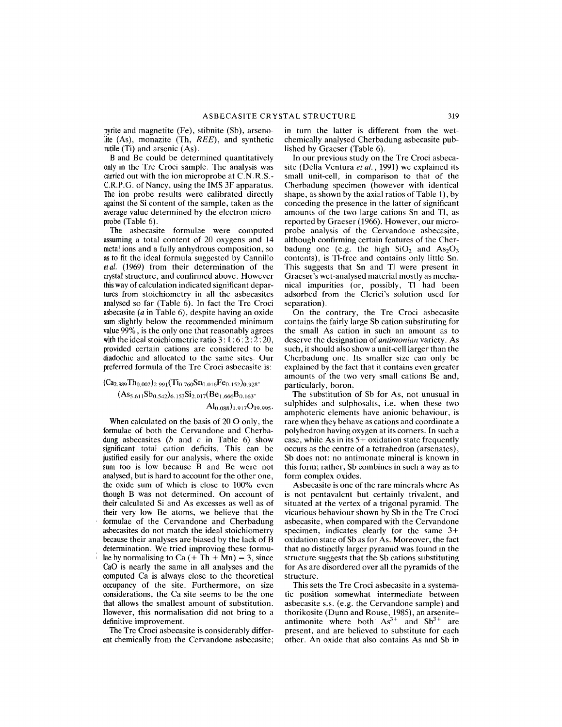pyrite and magnetite (Fe), stibnite (Sb), arsenolite (As), monazite (Th, *REE),* and synthetic rutile (Ti) and arsenic (As).

B and Be could be determined quantitatively only in the Tre Croci sample. The analysis was carried out with the ion microprobe at C.N.R.S.- C.R.P.G. of Nancy, using the IMS 3F apparatus. The ion probe results were calibrated directly against the Si content of the sample, taken as the average value determined by the electron microprobe (Table 6).

The asbecasite formulae were computed assuming a total content of 20 oxygens and 14 metal ions and a fully anhydrous composition, so asto fit the ideal formula suggested by Cannillo *etat.* (1969) from their determination of the crystal structure, and confirmed above. However thisway of calculation indicated significant departures from stoichiometry in all the asbecasites analysed so far (Table 6). In fact the Tre Croci asbecasite *(a* in Table 6), despite having an oxide sum slightly below the recommended minimum value 99%, is the only one that reasonably agrees with the ideal stoichiometric ratio  $3: 1: 6: 2: 2: 20$ , provided certain cations are considered to be diadochic and allocated to the same sites. Our preferred formula of the Tre Croci asbecasite is:

 $(Ca_{2.989}Th_{0.002})_{2.991} (Ti_{0.760}Sn_{0.016}Fe_{0.152})_{0.928}$  $(As_{5.611}Sb_{0.542})_{6.153}Si_{2.017}(Be_{1.666}B_{0.163}$ 

 $\text{Al}_{0.088}$  $\text{O}_{1.917} \text{O}_{19.995}$ .

When calculated on the basis of  $20$  O only, the formulae of both the Cervandone and Cherbadung asbecasites *(b* and c in Table 6) show significant total cation deficits. This can be justified easily for our analysis, where the oxide sum too is low because B and Be were not analysed, but is hard to account for the other one, the oxide sum of which is close to 100% even though B was not determined. On account of their calculated Si and As excesses as well as of their very low Be atoms, we believe that the formulae of the Cervandone and Cherbadung asbecasites do not match the ideal stoichiometry because their analyses are biased by the lack of B determination. We tried improving these formulae by normalising to  $Ca (+ Th + Mn) = 3$ , since CaO is nearly the same in all analyses and the computed Ca is always close to the theoretical occupancy of the site. Furthermore, on size considerations, the Ca site seems to be the one that allows the smallest amount of substitution. However, this normalisation did not bring to a definitive improvement.

The Tre Croci asbecasite is considerably different chemically from the Cervandone asbecasite;

in turn the latter is different from the wetchemically analysed Cherbadung asbecasite published by Graeser (Table 6).

In our previous study on the Tre Croci asbecasite (Della Ventura *et al.,* 1991) we explained its small unit-cell, in comparison to that of the Cherbadung specimen (however with identical shape, as shown by the axial ratios of Table 1), by conceding the presence in the latter of significant amounts of the two large cations Sn and TI, as reported by Graeser (1966). However, our microprobe analysis of the Cervandone asbecasite, although confirming certain features of the Cherbadung one (e.g. the high  $SiO_2$  and  $As_2O_3$ contents), is TI-free and contains only little Sn. This suggests that Sn and TI were present in Graeser's wet-analysed material mostly as mechanical impurities (or, possibly, TI had been adsorbed from the Clerici's solution used for separation).

On the contrary, the Tre Croci asbecasite contains the fairly large Sb cation substituting for the small As cation in such an amount as to deserve the designation of *antimonian* variety. As such, it should also show a unit-cell larger than the Cherbadung one. Its smaller size can only be explained by the fact that it contains even greater amounts of the two very small cations Be and, particularly, boron.

The substitution of Sb for As, not unusual in sulphides and sulphosalts, i.e. when these two amphoteric elements have anionic behaviour, is rare when they behave as cations and coordinate a polyhedron having oxygen at its corners. In such a case, while As in its  $5+$  oxidation state frequently occurs as the centre of a tetrahedron (arsenates), Sb does not: no antimonate mineral is known in this form; rather, Sb combines in such a way as to form complex oxides.

Asbecasite is one of the rare minerals where As is not pentavalent but certainly trivalent, and situated at the vertex of a trigonal pyramid. The vicarious behaviour shown by Sb in the Tre Croci asbecasite, when compared with the Cervandone specimen, indicates clearly for the same 3+ oxidation state of Sb as for As. Moreover, the fact that no distinctly larger pyramid was found in the structure suggests that the Sb cations substituting for As are disordered over all the pyramids of the structure.

This sets the Tre Croci asbecasite in a systematic position somewhat intermediate between asbecasite s.s. (e.g. the Cervandone sample) and thorikosite (Dunn and Rouse, 1985), an arseniteantimonite where both  $As^{3+}$  and  $Sb^{3+}$  are present, and are believed to substitute for each other. An oxide that also contains As and Sb in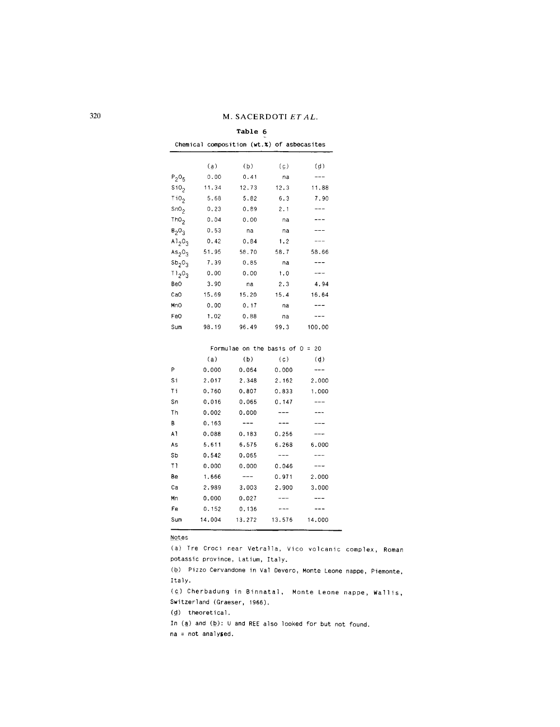## 320 M. SACERDOTI *ET AL.*

## **Table 6**

|                                |       | Chemical composition $(wt.x)$ of asbecasites |      |        |
|--------------------------------|-------|----------------------------------------------|------|--------|
|                                | (a)   | (b)                                          | (c)  | (d)    |
| $P_2O_5$                       | 0.00  | 0.41                                         | na   | ---    |
| SiO <sub>2</sub>               | 11.34 | 12.73                                        | 12.3 | 11.88  |
| 110 <sub>2</sub>               | 5.68  | 5.82                                         | 6.3  | 7.90   |
| SnO <sub>2</sub>               | 0.23  | 0.89                                         | 2.1  |        |
| ThO <sub>2</sub>               | 0.04  | 0.00                                         | na   | ---    |
| $B_2O_3$                       | 0.53  | na                                           | na   |        |
| A $1,0,$                       | 0.42  | 0.84                                         | 1.2  |        |
| As <sub>2</sub> O <sub>3</sub> | 51.95 | 58.70                                        | 58.7 | 58.66  |
| Sb <sub>2</sub> O <sub>3</sub> | 7.39  | 0.85                                         | na   |        |
| 11,02                          | 0.00  | 0.00                                         | 1.0  |        |
| Be0                            | 3.90  | na                                           | 2.3  | 4.94   |
| CaO                            | 15.69 | 15.20                                        | 15.4 | 16.64  |
| MnO                            | 0.00  | 0.17                                         | na   |        |
| Fe0                            | 1.02  | 0.88                                         | na   |        |
| Sum                            | 98.19 | 96.49                                        | 99.3 | 100.00 |

|     |        |         | Formulae on the basis of $0 = 20$ |           |
|-----|--------|---------|-----------------------------------|-----------|
|     | (a)    | (b)     | (c)                               | $\dot{q}$ |
| P   | 0.000  | 0.064   | 0.000                             |           |
| Si  | 2.017  | 2.348   | 2.162                             | 2,000     |
| Τi  | 0.760  | 0.807   | 0.833                             | 1.000     |
| Sn  | 0.016  | 0.065   | 0.147                             |           |
| Th  | 0.002  | 0.000   | ---                               | ---       |
| в   | 0.163  |         |                                   |           |
| A1  | 0.088  | 0.183   | 0.256                             |           |
| As  | 5.611  | 6.575   | 6.268                             | 6.000     |
| Sb  | 0.542  | 0.065   |                                   |           |
| ΤI  | 0.000  | 0.000   | 0.046                             |           |
| Be  | 1.666  | $- - -$ | 0.971                             | 2.000     |
| Ca  | 2.989  | 3.003   | 2.900                             | 3,000     |
| Mn  | 0.000  | 0.027   |                                   |           |
| Fe  | 0.152  | 0.136   |                                   |           |
| Sum | 14,004 | 13.272  | 13.576                            | 14,000    |

NQtes

(a) Tre Croci near Vetralla, Vico volcanic complex, Roman potassic province, Latium, Italy. (b) Pizzo Cervandone in Val Devero, Monte Leone nappe, Piemonte,

Italy.

(c) Cherbadung in Binnatal, Monte Leone nappe, Wallis, Switzerland (Graeser, 1966).

(d) theoretical.

In  $(\underline{a})$  and  $(\underline{b})$ : U and REE also looked for but not found.

na = not analysed.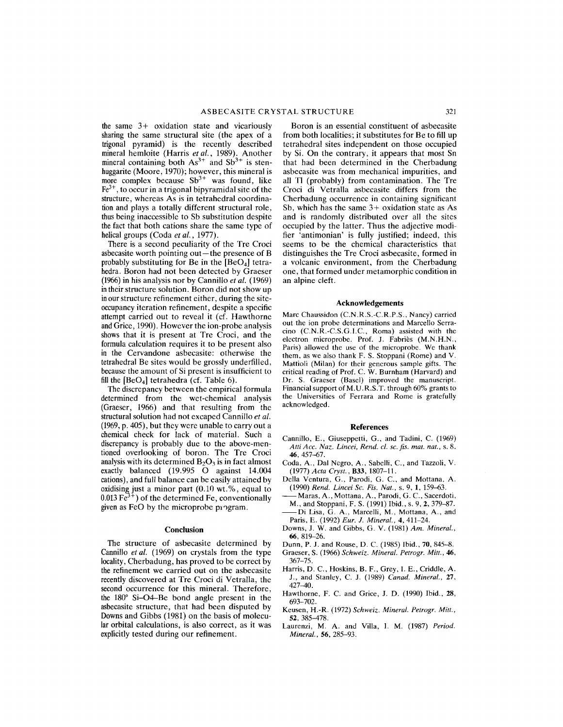the same 3+ oxidation state and vicariously sharing the same structural site (the apex of a trigona] pyramid) is the recently described mineral hem]oite (Harris *et at.,* 1989). Another mineral containing both  $As^{3+}$  and  $Sb^{3+}$  is stenhuggarite (Moore, 1970); however, this mineral is more complex because  $Sb^{3+}$  was found, like  $Fe<sup>3+</sup>$ , to occur in a trigonal bipyramidal site of the structure, whereas As is in tetrahedral coordination and plays a totally different structural role, thus being inaccessible to Sb substitution despite the fact that both cations share the same type of helical groups (Coda *et at.,* 1977).

There is a second peculiarity of the Tre Croci asbecasite worth pointing out $-$ the presence of B probably substituting for Be in the  $[BeO<sub>4</sub>]$  tetrahedra. Boron had not been detected by Graeser (1966)in his analysis nor by Cannillo *et at. (1969)* intheir structure solution. Boron did not show up inour structure refinement either, during the siteoccupancy iteration refinement, despite a specific attempt carried out to reveal it (cf. Hawthorne andGrice, 1990). However the ion-probe analysis shows that it is present at Tre Croci, and the formula calculation requires it to be present also in the Cervandone asbecasite: otherwise the tetrahedral Be sites would be grossly underfilled, because the amount of Si present is insufficient to fill the  $[BeO<sub>4</sub>]$  tetrahedra (cf. Table 6).

The discrepancy between the empirical formula determined from the wet-chemical analysis (Graeser, 1966) and that resulting from the structural solution had not excaped Cannillo *et at.* (1969,p. 405), but they were unable to carry out a chemical check for lack of material. Such a discrepancy is probably due to the above-mentioned overlooking of boron. The Tre Croci analysis with its determined  $B_2O_3$  is in fact almost exactly balanced (19.995 0 against 14.004 cations), and full balance can be easily attained by oxidising just a minor part  $(0.10 \text{ wt.} % )$ , equal to  $0.013 \text{ Fe}^{3+}$ ) of the determined Fe, conventionally given as FeO by the microprobe program.

## **Conclusion**

The structure of asbecasite determined by Cannillo *et at.* (1969) on crystals from the type locality, Cherbadung, has proved to be correct by the refinement we carried out on the asbecasite recently discovered at Tre Croci di Vetralla, the second occurrence for this mineral. Therefore, the  $180^\circ$  Si-O4-Be bond angle present in the asbecasite structure, that had been disputed by Downs and Gibbs  $(1981)$  on the basis of molecular orbital calculations, is also correct, as it was explicitly tested during our refinement.

Boron is an essential constituent of asbecasite from both localities; it substitutes for Be to fill up tetrahedral sites independent on those occupied by Si. On the contrary, it appears that most Sn that had been determined in the Cherbadung asbecasite was from mechanical impurities, and all Tl (probably) from contamination. The Tre Croci di Vetralla asbecasite differs from the Cherbadung occurrence in containing significant Sb, which has the same 3+ oxidation state as As and is randomly distributed over all the sites occupied by the latter. Thus the adjective modifier 'antimonian' is fully justified; indeed, this seems to be the chemica] characteristics that distinguishes the Tre Croci asbecasite, formed in a volcanic environment, from the Cherbadung one, that formed under metamorphic condition in an alpine cleft.

### Acknowledgements

Marc Chaussidon (C.N.R.S.-C.R.P.S., Nancy) carried out the ion probe determinations and Marcello Serracino (C.N.R.-C.S.G.I.c., Roma) assisted with the electron microprobe. Prof. J. Fabries (M.N.H.N., Paris) allowed the use of the microprobe. We thank them, as we also thank F. S. Stoppani (Rome) and V. Mattioli (Milan) for their generous sample gifts. The critical reading of Prof. C. W. Burnham (Harvard) and Dr. S. Graeser (Basel) improved the manuscript. Financial support of M. U.R.S.T. through 60% grants to the Universities of Ferrara and Rome is gratefully acknowledged.

## References

- Cannillo, E., Giuseppetti, G., and Tadini, C. (1969) *Atti Acc. Naz. Lincei, Rend.* cl. sc. *fis. mat. nat.,* s. 8, 46, 457-67.
- Coda, A., Dal Negro, A., Sabelli, c., and Tazzoli, V. *(1977) Acta Cryst.,* 833, 1807-11.
- Della Ventura, G., Parodi, G. c., and Mottana, A. *(1990) Rend. Lincei Sc. Fis. Nat.,* s. 9, 1, 159--63.
- -Maras, A., Mottana, A., Parodi, G. C., Sacerdoti, M., and Stoppani, F. S. (1991) Ibid., s. 9, 2, 379-87. -Di Lisa, G. A., Marcelli, M., Mottana, A., and Paris, E. (1992) *Eur.* 1. *Mineral.,* 4,411-24.
- Downs, J. W. and Gibbs, G. V. (1981) *Am. Mineral.,* 66, 819-26.
- Dunn, P. J. and Rouse, D. C. (1985) Ibid., 70, 845-8. Graeser, S. (1966) *Schweiz. Mineral. Petrogr. Mitt., 46,* 367-75.
- Harris, D. c., Hoskins, B. F., Grey, I. E., Criddle, A. J., and Stanley, C. J. (1989) *Canad. Mineral., 27,* 427-40.
- Hawthorne, F. C. and Grice, J. D. (1990) Ibid., 28, 693-702.
- Keusen, H.-R. (1972) *Schweiz. Mineral. Petrogr. Mitt.,* 52, 385-478.
- Laurenzi, M. A. and Villa, I. M. (1987) *Period. Mineral.,* 56, 285-93.